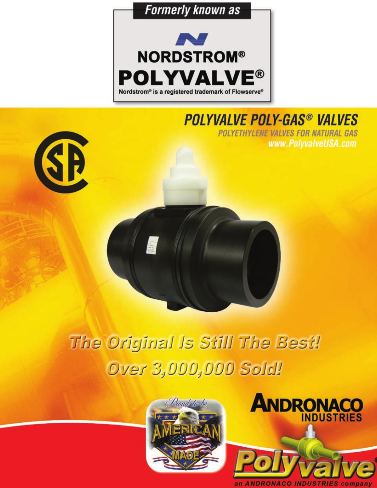



# **POLYVALVE POLY-GAS<sup>®</sup> VALVES**

**POLYETHYLENE VALVES FOR NATURAL GAS** www.PolyvalveUSA.com



# The Original Is Still The Best! Over 3,000,000 Sold!



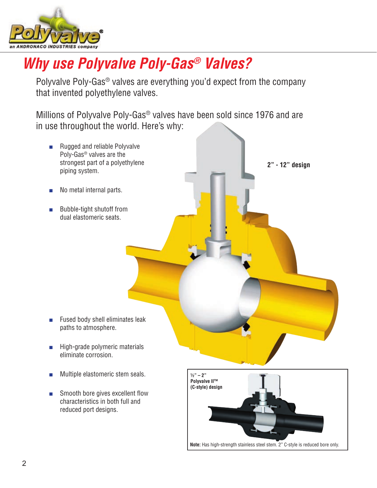

# *Why use Polyvalve Poly-Gas® Valves?*

Polyvalve Poly-Gas® valves are everything you'd expect from the company that invented polyethylene valves.

Millions of Polyvalve Poly-Gas® valves have been sold since 1976 and are in use throughout the world. Here's why:



**Note:** Has high-strength stainless steel stem. 2" C-style is reduced bore only.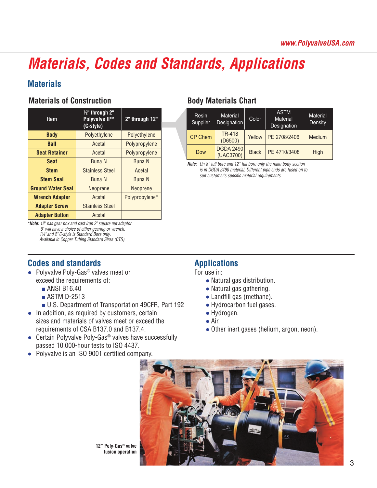# *Materials, Codes and Standards, Applications*

# **Materials**

# **Materials of Construction**

| <b>Item</b>              | $1/2$ " through 2"<br><b>Polyvalve II™</b> | 2" through 12"  |
|--------------------------|--------------------------------------------|-----------------|
|                          | (C-style)                                  |                 |
| <b>Body</b>              | Polyethylene                               | Polyethylene    |
| <b>Ball</b>              | Acetal                                     | Polypropylene   |
| <b>Seat Retainer</b>     | Acetal                                     | Polypropylene   |
| <b>Seat</b>              | <b>Buna N</b>                              | <b>Buna N</b>   |
| <b>Stem</b>              | <b>Stainless Steel</b>                     | Acetal          |
| <b>Stem Seal</b>         | <b>Buna N</b>                              | <b>Buna N</b>   |
| <b>Ground Water Seal</b> | Neoprene                                   | <b>Neoprene</b> |
| <b>Wrench Adapter</b>    | Acetal                                     | Polypropylene*  |
| <b>Adapter Screw</b>     | <b>Stainless Steel</b>                     |                 |
| <b>Adapter Button</b>    | Acetal                                     |                 |

*\*Note: 12" has gear box and cast iron 2" square nut adaptor. 8" will have a choice of either gearing or wrench. 1¼" and 2" C-style is Standard Bore only. Available in Copper Tubing Standard Sizes (CTS).*

### **Codes and standards Applications Poly-Gas® Valve Availability Chart (Ball Valves for Natural Gas)**

- **Size (Inches) Size (Metric) Body Pieces Port** Polyvalve Poly-Gas® valves meet or xceed the requirements of:  $\bullet$  Natural gas distribution. exceed the requirements of:
	- ANSI B16.40
	- ASTM D-2513
	- U.S. Department of Transportation 49CFR, Part 192 Hydrocarbon fuel gases.
- In addition, as required by customers, certain Hydrogen. for addition, as required by edetermine, cortain the exceeding of rigaregon.<br>Sizes and materials of valves meet or exceed the **A**ir. sized and materials of varves meet of exected the contract of the contract of CSA B137.0 and B137.4.
- Certain Polyvalve Poly-Gas<sup>3</sup> valves have successiumy<br>passed 10,000-hour tests to ISO 4437. ● Certain Polyvalve Poly-Gas<sup>®</sup> valves have successfully
- 

# **Body Materials Chart**

| Resin<br>Supplier | <b>Material</b><br><b>Designation</b> | Color        | <b>ASTM</b><br><b>Material</b><br>Designation | <b>Material</b><br>Density |  |  |
|-------------------|---------------------------------------|--------------|-----------------------------------------------|----------------------------|--|--|
| <b>CP Chem</b>    | <b>TR-418</b><br>(D6500)              | Yellow       | PE 2708/2406                                  | <b>Medium</b>              |  |  |
| <b>Dow</b>        | <b>DGDA 2490</b><br>(UAC3700)         | <b>Black</b> | PE 4710/3408                                  | High                       |  |  |

*Note: On 8" full bore and 12" full bore only the main body section is in DGDA 2490 material. Different pipe ends are fused on to suit customer's specific material requirements.*

**Configuration For use in:** 

- 
- ANSI B16.40 Natural gas gathering.
- ASTM D-2513 Landfill gas (methane).
	- Hydrocarbon fuel gases.
	- Hydrogen.
	- $\bullet$  Air.
	- of CSA B137.0 and B137.4.  $\bullet$  Other inert gases (helium, argon, neon).

25 full 254 86 122 86 122 86 122 86 122 86 122 86 122 86 122 86 122 86 122 86 122 86 122 86 122 86 122 86 122



**12" Poly-Gas® valve** *<b>fusion operation* 

¾ full 10.0 3.4 4.8 2.8 0.75 1.2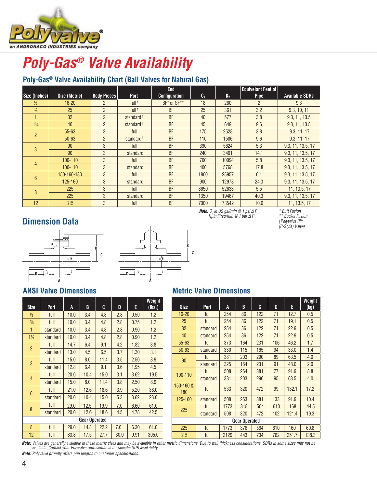

#### **Poly-Gas<sup>®</sup> Valve Availability**  *1¼" and 2" C-style is Standard Bore only. Available in Copper Tubing Standard Sizes (CTS).* **Ground Water Seal** Neoprene Neoprene FUIV-UAS PAIV<del>G</del> AVA

### **Poly-Gas<sup>®</sup> Valve Availability Chart (Ball Valves for Natural Gas)** uly-uas valv<del>e</del> Avaliau

|                 |               |                    |                       | <b>End</b>           |         |         | <b>Equivelant Feet of</b> |                       |  |
|-----------------|---------------|--------------------|-----------------------|----------------------|---------|---------|---------------------------|-----------------------|--|
| Size (Inches)   | Size (Metric) | <b>Body Pieces</b> | Port                  | <b>Configuration</b> | $c_{v}$ | $K_{V}$ | <b>Pipe</b>               | <b>Available SDRs</b> |  |
| $\frac{1}{2}$   | $16 - 20$     | $\overline{2}$     | full <sup>+</sup>     | BF* or SF**          | 18      | 260     | $\overline{2}$            | 9.3                   |  |
| $\frac{3}{4}$   | 25            | $\mathfrak{p}$     | $full$ <sup>†</sup>   | <b>BF</b>            | 25      | 361     | 3.2                       | 9.3, 10, 11           |  |
|                 | 32            | $\overline{2}$     | standard <sup>+</sup> | <b>BF</b>            | 40      | 577     | 3.8                       | 9.3, 11, 13.5         |  |
| $1\frac{1}{4}$  | 40            | $\overline{2}$     | standard <sup>+</sup> | <b>BF</b>            | 45      | 649     | 9.6                       | 9.3, 11, 13.5         |  |
| $\mathcal{P}$   | $55 - 63$     | 3                  | full                  | <b>BF</b>            | 175     | 2528    | 3.8                       | 9.3, 11, 17           |  |
|                 | $50 - 63$     | $\overline{2}$     |                       | <b>BF</b>            | 110     | 1586    | 9.6                       | 9.3, 11, 17           |  |
| 3               | 90            | 3                  | full                  | <b>BF</b>            | 390     | 5624    | 5.3                       | 9.3, 11, 13.5, 17     |  |
|                 | 90            | 3                  | standard              | <b>BF</b>            | 240     | 3461    | 14.1                      | 9.3, 11, 13.5, 17     |  |
| $\overline{4}$  | 100-110       | 3                  | full                  | <b>BF</b>            | 700     | 10094   | 5.8                       | 9.3, 11, 13.5, 17     |  |
|                 | 100-110       | 3                  | standard              | <b>BF</b>            | 400     | 5768    | 17.8                      | 9.3, 11, 13.5, 17     |  |
| $6\overline{6}$ | 150-160-180   | $\mathcal{S}$      | full                  | <b>BF</b>            | 1800    | 25957   | 6.1                       | 9.3, 11, 13.5, 17     |  |
|                 | 125-160       | 3                  | standard              | <b>BF</b>            | 900     | 12978   | 24.3                      | 9.3, 11, 13.5, 17     |  |
| 8               | 225           | 3                  | full                  | <b>BF</b>            | 3650    | 52633   | 5.5                       | 11, 13.5, 17          |  |
|                 | 225           | 3                  | standard              | <b>BF</b>            | 1350    | 19467   | 40.3                      | 9.3, 11, 13.5, 17     |  |
| 12              | 315           | 3                  | full                  | <b>BF</b>            | 7000    | 73542   | 10.6                      | 11, 13.5, 17          |  |

## **Dimension Data**



#### ——"F **(lbs.)**  $\overline{\mathbf{C}}$ **Size Port A B C D E** 16-20 full 254 86 12.7 or 12.7 or 12.7 or 12.7 or 12.7 or 12.7 or 12.7 or 12.7 or **D A ø E C B**  $\begin{array}{|c|c|c|}\n\hline\n\multicolumn{1}{c|}{\textbf{25.5}}\n\hline\n\multicolumn{1}{c|}{\textbf{36.5}}\n\hline\n\multicolumn{1}{c|}{\textbf{46.5}}\n\hline\n\multicolumn{1}{c|}{\textbf{5.5}}\n\hline\n\multicolumn{1}{c|}{\textbf{6.5}}\n\hline\n\multicolumn{1}{c|}{\textbf{7.5}}\n\hline\n\multicolumn{1}{c|}{\textbf{8.5}}\n\hline\n\multicolumn{1}{c|}{\textbf{9.5}}\n\hline\n\multicolumn{1}{$ 225 3 standard BF 1350 19467 40.3 per sensitive production and all the sensitive production and all the sensitive production and all the sensitive production and all the sensitive production and all the sensitive productio  $\begin{array}{ccc} \mathbf{1} & \mathbf{1} & \mathbf{1} & \mathbf{1} & \mathbf{1} & \mathbf{1} & \mathbf{1} & \mathbf{1} & \mathbf{1} & \mathbf{1} & \mathbf{1} & \mathbf{1} & \mathbf{1} & \mathbf{1} & \mathbf{1} & \mathbf{1} & \mathbf{1} & \mathbf{1} & \mathbf{1} & \mathbf{1} & \mathbf{1} & \mathbf{1} & \mathbf{1} & \mathbf{1} & \mathbf{1} & \mathbf{1} & \mathbf{1} & \mathbf{1} & \mathbf{1} & \mathbf{1} & \mathbf$

### **ANSI Valve Dimensions**

| <b>Size</b>          | Port     | A    | B    | C    | D    | E    | Weight<br>(lbs.) |  |  |  |  |  |
|----------------------|----------|------|------|------|------|------|------------------|--|--|--|--|--|
| $\frac{1}{2}$        | full     | 10.0 | 3.4  | 4.8  | 2.8  | 0.50 | 1.2              |  |  |  |  |  |
| $\frac{3}{4}$        | full     | 10.0 | 3.4  | 4.8  | 2.8  | 0.75 | 1.2              |  |  |  |  |  |
| $\mathbf{1}$         | standard | 10.0 | 3.4  | 4.8  | 2.8  | 0.90 | 1.2              |  |  |  |  |  |
| $1\frac{1}{4}$       | standard | 10.0 | 3.4  | 4.8  | 2.8  | 0.90 | 1.2              |  |  |  |  |  |
| $\overline{2}$       | full     | 14.7 | 6.4  | 9.1  | 4.2  | 1.82 | 3.8              |  |  |  |  |  |
|                      | standard | 13.0 | 4.5  | 6.5  | 3.7  | 1.30 | 3.1              |  |  |  |  |  |
|                      | full     | 15.0 | 8.0  | 11.4 | 3.5  | 2.50 | 8.9              |  |  |  |  |  |
| 3                    | standard | 12.8 | 6.4  | 9.1  | 3.6  | 1.95 | 4.5              |  |  |  |  |  |
|                      | full     | 20.0 | 10.4 | 15.0 | 3.1  | 3.62 | 19.5             |  |  |  |  |  |
| $\overline{4}$       | standard | 15.0 | 8.0  | 11.4 | 3.8  | 2.50 | 8.9              |  |  |  |  |  |
| $6\phantom{1}6$      | full     | 21.0 | 12.6 | 18.6 | 3.9  | 5.20 | 38.0             |  |  |  |  |  |
|                      | standard | 20.0 | 10.4 | 15.0 | 5.3  | 3.62 | 23.0             |  |  |  |  |  |
| 8                    | full     | 29.0 | 12.5 | 19.9 | 7.0  | 6.60 | 61.0             |  |  |  |  |  |
|                      | standard | 20.0 | 12.6 | 18.6 | 4.5  | 4.78 | 42.5             |  |  |  |  |  |
| <b>Gear Operated</b> |          |      |      |      |      |      |                  |  |  |  |  |  |
| 8                    | full     | 29.0 | 14.8 | 22.2 | 7.0  | 6.30 | 61.0             |  |  |  |  |  |
| 12                   | full     | 83.8 | 17.5 | 27.7 | 30.0 | 9.91 | 305.0            |  |  |  |  |  |

#### **Moncion Data**<br> **Concion Data 126.17 Standard BF 900 value 1.13.5, 120.3, 120.3, 120.3, 120.3, 12.3, 17.3, 17.3, 17.3, 17.3, 17.3, 17.3, 17.3, 17.3, 17.3, 17.3, 17.3, 17.3, 17.3, 17.3, 17.3, 17.3, 17.3, 17.3, 17.3, 17.3, 17.3, 17.3, 17.3, 17.3, 17.3,**

*Note: C<sub>v</sub>* in US gal/min @ 1 psi ∆ P <sup>∗</sup> Butt Fusion *\* Butt Fusion \*\* Socket Fusion* †*Polyvalve II™ (C-Style) Valves*

### **Metric Valve Dimensions**

| <b>Size</b>          | Port     | A    | B    | C    | D    | E    | Weight<br>(lbs.) |                      | <b>Size</b>      | Port     | A    | B   | C   | D   | E     | Weight<br>(kg) |  |
|----------------------|----------|------|------|------|------|------|------------------|----------------------|------------------|----------|------|-----|-----|-----|-------|----------------|--|
| $\frac{1}{2}$        | full     | 10.0 | 3.4  | 4.8  | 2.8  | 0.50 | 1.2              |                      | $16 - 20$        | full     | 254  | 86  | 122 | 71  | 12.7  | 0.5            |  |
| $\frac{3}{4}$        | full     | 10.0 | 3.4  | 4.8  | 2.8  | 0.75 | 1.2              |                      | 25               | full     | 254  | 86  | 122 | 71  | 19.1  | 0.5            |  |
| 1                    | standard | 10.0 | 3.4  | 4.8  | 2.8  | 0.90 | 1.2              |                      | 32               | standard | 254  | 86  | 122 | 71  | 22.9  | 0.5            |  |
| $1\frac{1}{4}$       | standard | 10.0 | 3.4  | 4.8  | 2.8  | 0.90 | 1.2              |                      | 40               | standard | 254  | 86  | 122 | 71  | 22.9  | 0.5            |  |
|                      | full     | 14.7 | 6.4  | 9.1  | 4.2  | 1.82 | 3.8              |                      | $55 - 63$        | full     | 373  | 164 | 231 | 106 | 46.2  | 1.7            |  |
| $\overline{2}$       | standard | 13.0 | 4.5  | 6.5  | 3.7  | 1.30 | 3.1              |                      | $50 - 63$        | standard | 330  | 115 | 165 | 94  | 33.0  | 1.4            |  |
| 3                    | full     | 15.0 | 8.0  | 11.4 | 3.5  | 2.50 | 8.9              |                      | 90               | full     | 381  | 203 | 290 | 89  | 63.5  | 4.0            |  |
|                      | standard | 12.8 | 6.4  | 9.1  | 3.6  | I.95 | 4.5              |                      |                  | standard | 325  | 164 | 231 | 91  | 48.0  | 2.0            |  |
|                      | full     | 20.0 | 10.4 | 15.0 | 3.1  | 3.62 | 19.5             |                      | 100-110          | full     | 508  | 264 | 381 | 77  | 91.9  | 8.8            |  |
| $\overline{4}$       | standard | 15.0 | 8.0  | 11.4 | 3.8  | 2.50 | 8.9              |                      |                  | standard | 381  | 203 | 290 | 95  | 63.5  | 4.0            |  |
| $6\phantom{1}6$      | full     | 21.0 | 12.6 | 18.6 | 3.9  | 5.20 | 38.0             |                      | 150-160 &<br>180 | full     | 533  | 320 | 472 | 99  | 132.1 | 17.2           |  |
|                      | standard | 20.0 | 10.4 | 15.0 | 5.3  | 3.62 | 23.0             |                      | 125-160          | standard | 508  | 263 | 381 | 133 | 91.9  | 10.4           |  |
|                      | full     | 29.0 | 12.5 | 19.9 | 7.0  | 6.60 | 61.0             |                      | full             | 1773     | 318  | 504 | 610 | 168 | 44.5  |                |  |
| 8                    | standard | 20.0 | 12.6 | 18.6 | 4.5  | 4.78 | 42.5             |                      | 225              | standard | 508  | 320 | 472 | 102 | 121.4 | 19.3           |  |
| <b>Gear Operated</b> |          |      |      |      |      |      |                  | <b>Gear Operated</b> |                  |          |      |     |     |     |       |                |  |
| 8                    | full     | 29.0 | 14.8 | 22.2 | 7.0  | 6.30 | 61.0             |                      | 225              | full     | 1773 | 376 | 564 | 610 | 160   | 60.8           |  |
| 12                   | full     | 83.8 | 17.5 | 27.7 | 30.0 | 9.91 | 305.0            |                      | 315              | full     | 2129 | 443 | 704 | 762 | 251.7 | 138.3          |  |
|                      |          |      |      |      |      |      |                  |                      |                  |          |      |     |     |     |       |                |  |

**Note:** Valves are generally available in these metric sizes and may be available in other metric dimensions. Due to wall thickness considerations, SDRs in some sizes may not be<br>available. Contact your Polyvalve representa

*Note: Polyvalve proudly offers pup lengths to customer specifications.*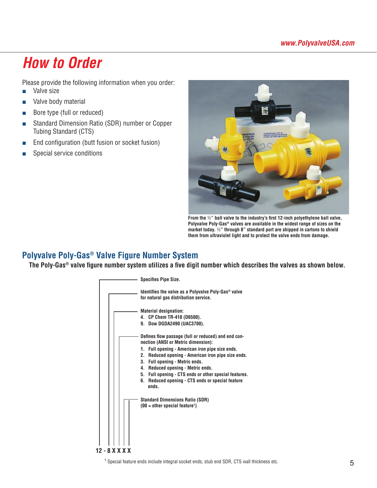# *How to Order*

Please provide the following information when you order:

- Valve size
- Valve body material
- Bore type (full or reduced)
- Standard Dimension Ratio (SDR) number or Copper Tubing Standard (CTS)
- End configuration (butt fusion or socket fusion)
- Special service conditions



**From the** ½**" ball valve to the industry's first 12-inch polyethylene ball valve, Polyvalve Poly-Gas® valves are available in the widest range of sizes on the market today.** ½**" through 8" standard port are shipped in cartons to shield them from ultraviolet light and to protect the valve ends from damage.**

# **Polyvalve Poly-Gas® Valve Figure Number System**

**The Poly-Gas® valve figure number system utilizes a five digit number which describes the valves as shown below.**



<sup>1</sup> Special feature ends include integral socket ends, stub end SDR, CTS wall thickness etc.